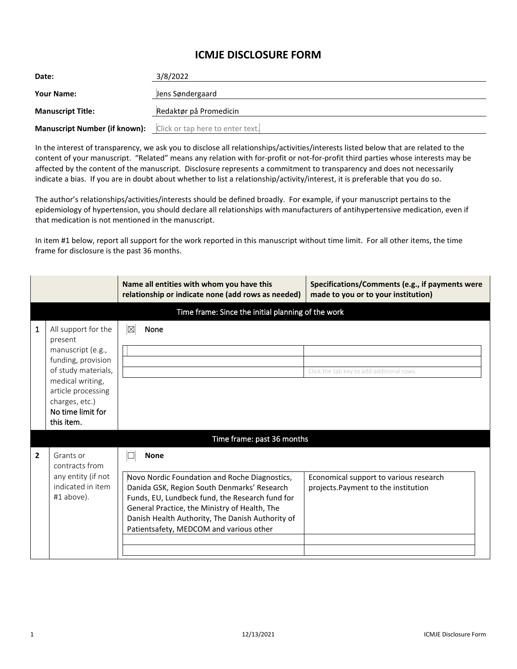## **ICMJE DISCLOSURE FORM**

| Date:                                                          | 3/8/2022               |
|----------------------------------------------------------------|------------------------|
| <b>Your Name:</b>                                              | Jens Søndergaard       |
| <b>Manuscript Title:</b>                                       | Redaktør på Promedicin |
| Manuscript Number (if known): Click or tap here to enter text. |                        |

In the interest of transparency, we ask you to disclose all relationships/activities/interests listed below that are related to the content of your manuscript. "Related" means any relation with for-profit or not-for-profit third parties whose interests may be affected by the content of the manuscript. Disclosure represents a commitment to transparency and does not necessarily indicate a bias. If you are in doubt about whether to list a relationship/activity/interest, it is preferable that you do so.

The author's relationships/activities/interests should be defined broadly. For example, if your manuscript pertains to the epidemiology of hypertension, you should declare all relationships with manufacturers of antihypertensive medication, even if that medication is not mentioned in the manuscript.

In item #1 below, report all support for the work reported in this manuscript without time limit. For all other items, the time frame for disclosure is the past 36 months.

|                |                                                                                                                                                                                                 | Name all entities with whom you have this<br>relationship or indicate none (add rows as needed)                                                                                                                                                                                                                | Specifications/Comments (e.g., if payments were<br>made to you or to your institution) |  |  |  |
|----------------|-------------------------------------------------------------------------------------------------------------------------------------------------------------------------------------------------|----------------------------------------------------------------------------------------------------------------------------------------------------------------------------------------------------------------------------------------------------------------------------------------------------------------|----------------------------------------------------------------------------------------|--|--|--|
|                |                                                                                                                                                                                                 | Time frame: Since the initial planning of the work                                                                                                                                                                                                                                                             |                                                                                        |  |  |  |
| 1              | All support for the<br>present<br>manuscript (e.g.,<br>funding, provision<br>of study materials,<br>medical writing,<br>article processing<br>charges, etc.)<br>No time limit for<br>this item. | $\boxtimes$<br>None                                                                                                                                                                                                                                                                                            | Click the tab key to add additional rows.                                              |  |  |  |
|                | Time frame: past 36 months                                                                                                                                                                      |                                                                                                                                                                                                                                                                                                                |                                                                                        |  |  |  |
| $\overline{2}$ | Grants or<br>contracts from<br>any entity (if not<br>indicated in item<br>$#1$ above).                                                                                                          | <b>None</b><br>Novo Nordic Foundation and Roche Diagnostics,<br>Danida GSK, Region South Denmarks' Research<br>Funds, EU, Lundbeck fund, the Research fund for<br>General Practice, the Ministry of Health, The<br>Danish Health Authority, The Danish Authority of<br>Patientsafety, MEDCOM and various other | Economical support to various research<br>projects. Payment to the institution         |  |  |  |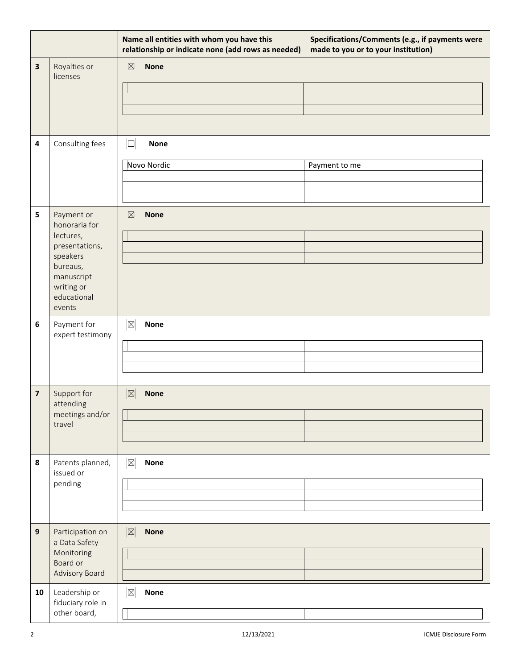|    |                                                                                                                                         | Name all entities with whom you have this<br>relationship or indicate none (add rows as needed) | Specifications/Comments (e.g., if payments were<br>made to you or to your institution) |
|----|-----------------------------------------------------------------------------------------------------------------------------------------|-------------------------------------------------------------------------------------------------|----------------------------------------------------------------------------------------|
| 3  | Royalties or<br>licenses                                                                                                                | <b>None</b><br>$\boxtimes$                                                                      |                                                                                        |
| 4  | Consulting fees                                                                                                                         | $\Box$<br><b>None</b><br>Novo Nordic                                                            | Payment to me                                                                          |
| 5  | Payment or<br>honoraria for<br>lectures,<br>presentations,<br>speakers<br>bureaus,<br>manuscript<br>writing or<br>educational<br>events | $\boxtimes$<br><b>None</b>                                                                      |                                                                                        |
| 6  | Payment for<br>expert testimony                                                                                                         | $\mathbb{Z}$<br><b>None</b>                                                                     |                                                                                        |
| 7  | Support for<br>attending<br>meetings and/or<br>travel                                                                                   | $\mathbb{Z}$<br><b>None</b>                                                                     |                                                                                        |
| 8  | Patents planned,<br>issued or<br>pending                                                                                                | $\boxtimes$<br><b>None</b>                                                                      |                                                                                        |
| 9  | Participation on<br>a Data Safety<br>Monitoring<br>Board or<br>Advisory Board                                                           | $\mathbb{Z}$<br><b>None</b>                                                                     |                                                                                        |
| 10 | Leadership or<br>fiduciary role in<br>other board,                                                                                      | $\boxtimes$<br><b>None</b>                                                                      |                                                                                        |